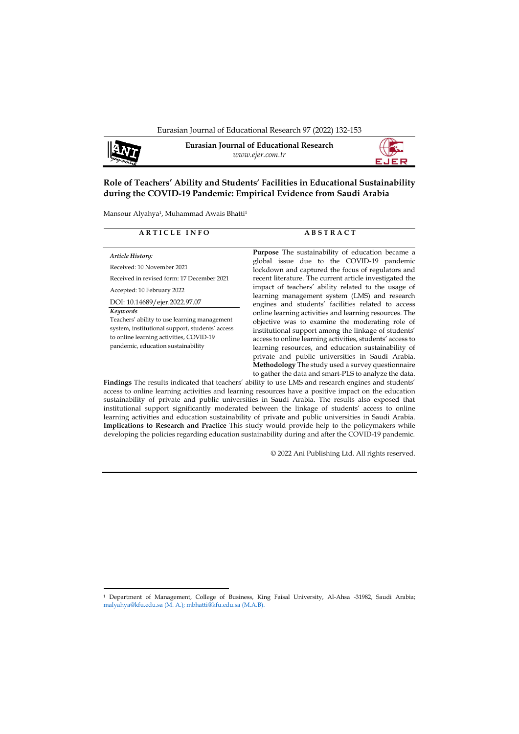

**Eurasian Journal of Educational Research** *www.ejer.com.tr*



# **Role of Teachers' Ability and Students' Facilities in Educational Sustainability during the COVID-19 Pandemic: Empirical Evidence from Saudi Arabia**

Mansour Alyahya<sup>1</sup>, Muhammad Awais Bhatti<sup>1</sup>

| <b>ARTICLE INFO</b>                                                                                                                                                                                                                                                                                                                                         | <b>ABSTRACT</b>                                                                                                                                                                                                                                                                                                                                                                                                                                                                                                                                                                                                                                                                                                                                                                                                                                                                                                                                               |
|-------------------------------------------------------------------------------------------------------------------------------------------------------------------------------------------------------------------------------------------------------------------------------------------------------------------------------------------------------------|---------------------------------------------------------------------------------------------------------------------------------------------------------------------------------------------------------------------------------------------------------------------------------------------------------------------------------------------------------------------------------------------------------------------------------------------------------------------------------------------------------------------------------------------------------------------------------------------------------------------------------------------------------------------------------------------------------------------------------------------------------------------------------------------------------------------------------------------------------------------------------------------------------------------------------------------------------------|
| Article History:<br>Received: 10 November 2021<br>Received in revised form: 17 December 2021<br>Accepted: 10 February 2022<br>DOI: 10.14689/ejer.2022.97.07<br>Keywords<br>Teachers' ability to use learning management<br>system, institutional support, students' access<br>to online learning activities, COVID-19<br>pandemic, education sustainability | <b>Purpose</b> The sustainability of education became a<br>global issue due to the COVID-19 pandemic<br>lockdown and captured the focus of regulators and<br>recent literature. The current article investigated the<br>impact of teachers' ability related to the usage of<br>learning management system (LMS) and research<br>engines and students' facilities related to access<br>online learning activities and learning resources. The<br>objective was to examine the moderating role of<br>institutional support among the linkage of students'<br>access to online learning activities, students' access to<br>learning resources, and education sustainability of<br>private and public universities in Saudi Arabia.<br>Methodology The study used a survey questionnaire<br>to gather the data and smart-PLS to analyze the data.<br>The diagon The according in discussion theories of chiling in the TAMO and according contacts and singlessed |

**Findings** The results indicated that teachers' ability to use LMS and research engines and students' access to online learning activities and learning resources have a positive impact on the education sustainability of private and public universities in Saudi Arabia. The results also exposed that institutional support significantly moderated between the linkage of students' access to online learning activities and education sustainability of private and public universities in Saudi Arabia. **Implications to Research and Practice** This study would provide help to the policymakers while developing the policies regarding education sustainability during and after the COVID-19 pandemic.

© 2022 Ani Publishing Ltd. All rights reserved.

<sup>1</sup> Department of Management, College of Business, King Faisal University, Al-Ahsa -31982, Saudi Arabia; [malyahya@kfu.edu.sa](mailto:malyahya@kfu.edu.sa) (M. A.); [mbhatti@kfu.edu.sa](mailto:mbhatti@kfu.edu.sa) (M.A.B).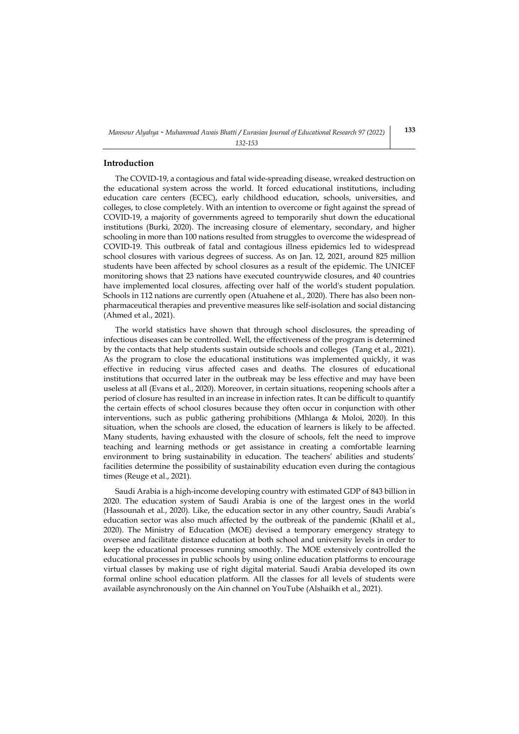#### **Introduction**

The COVID-19, a contagious and fatal wide-spreading disease, wreaked destruction on the educational system across the world. It forced educational institutions, including education care centers (ECEC), early childhood education, schools, universities, and colleges, to close completely. With an intention to overcome or fight against the spread of COVID-19, a majority of governments agreed to temporarily shut down the educational institutions [\(Burki, 2020\)](#page-18-0). The increasing closure of elementary, secondary, and higher schooling in more than 100 nations resulted from struggles to overcome the widespread of COVID-19. This outbreak of fatal and contagious illness epidemics led to widespread school closures with various degrees of success. As on Jan. 12, 2021, around 825 million students have been affected by school closures as a result of the epidemic. The UNICEF monitoring shows that 23 nations have executed countrywide closures, and 40 countries have implemented local closures, affecting over half of the world's student population. Schools in 112 nations are currently open [\(Atuahene et al., 2020\)](#page-18-1). There has also been nonpharmaceutical therapies and preventive measures like self-isolation and social distancing [\(Ahmed et al., 2021\)](#page-17-0).

The world statistics have shown that through school disclosures, the spreading of infectious diseases can be controlled. Well, the effectiveness of the program is determined by the contacts that help students sustain outside schools and colleges [\(Tang et al., 2021\)](#page-20-0). As the program to close the educational institutions was implemented quickly, it was effective in reducing virus affected cases and deaths. The closures of educational institutions that occurred later in the outbreak may be less effective and may have been useless at all [\(Evans et al., 2020\)](#page-18-2). Moreover, in certain situations, reopening schools after a period of closure has resulted in an increase in infection rates. It can be difficult to quantify the certain effects of school closures because they often occur in conjunction with other interventions, such as public gathering prohibitions [\(Mhlanga & Moloi, 2020\)](#page-20-1). In this situation, when the schools are closed, the education of learners is likely to be affected. Many students, having exhausted with the closure of schools, felt the need to improve teaching and learning methods or get assistance in creating a comfortable learning environment to bring sustainability in education. The teachers' abilities and students' facilities determine the possibility of sustainability education even during the contagious times [\(Reuge et al., 2021\)](#page-20-2).

Saudi Arabia is a high-income developing country with estimated GDP of 843 billion in 2020. The education system of Saudi Arabia is one of the largest ones in the world [\(Hassounah et al., 2020\)](#page-19-0). Like, the education sector in any other country, Saudi Arabia's education sector was also much affected by the outbreak of the pandemic [\(Khalil et al.,](#page-19-1)  [2020\)](#page-19-1). The Ministry of Education (MOE) devised a temporary emergency strategy to oversee and facilitate distance education at both school and university levels in order to keep the educational processes running smoothly. The MOE extensively controlled the educational processes in public schools by using online education platforms to encourage virtual classes by making use of right digital material. Saudi Arabia developed its own formal online school education platform. All the classes for all levels of students were available asynchronously on the Ain channel on YouTube [\(Alshaikh et al., 2021\)](#page-18-3).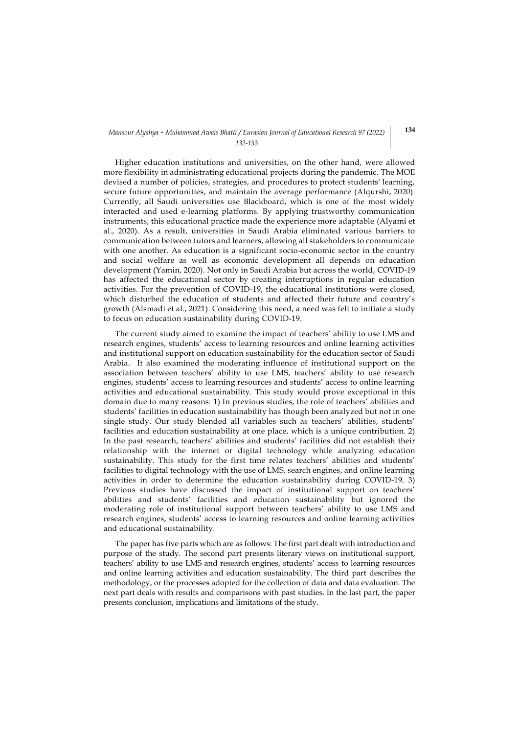Higher education institutions and universities, on the other hand, were allowed more flexibility in administrating educational projects during the pandemic. The MOE devised a number of policies, strategies, and procedures to protect students' learning, secure future opportunities, and maintain the average performance [\(Alqurshi, 2020\)](#page-17-1). Currently, all Saudi universities use Blackboard, which is one of the most widely interacted and used e-learning platforms. By applying trustworthy communication instruments, this educational practice made the experience more adaptable [\(Alyami et](#page-18-4)  [al., 2020\)](#page-18-4). As a result, universities in Saudi Arabia eliminated various barriers to communication between tutors and learners, allowing all stakeholders to communicate with one another. As education is a significant socio-economic sector in the country and social welfare as well as economic development all depends on education development [\(Yamin, 2020\)](#page-21-0). Not only in Saudi Arabia but across the world, COVID-19 has affected the educational sector by creating interruptions in regular education activities. For the prevention of COVID-19, the educational institutions were closed, which disturbed the education of students and affected their future and country's growth [\(Alsmadi et al., 2021\)](#page-18-5). Considering this need, a need was felt to initiate a study to focus on education sustainability during COVID-19.

The current study aimed to examine the impact of teachers' ability to use LMS and research engines, students' access to learning resources and online learning activities and institutional support on education sustainability for the education sector of Saudi Arabia. It also examined the moderating influence of institutional support on the association between teachers' ability to use LMS, teachers' ability to use research engines, students' access to learning resources and students' access to online learning activities and educational sustainability. This study would prove exceptional in this domain due to many reasons: 1) In previous studies, the role of teachers' abilities and students' facilities in education sustainability has though been analyzed but not in one single study. Our study blended all variables such as teachers' abilities, students' facilities and education sustainability at one place, which is a unique contribution. 2) In the past research, teachers' abilities and students' facilities did not establish their relationship with the internet or digital technology while analyzing education sustainability. This study for the first time relates teachers' abilities and students' facilities to digital technology with the use of LMS, search engines, and online learning activities in order to determine the education sustainability during COVID-19. 3) Previous studies have discussed the impact of institutional support on teachers' abilities and students' facilities and education sustainability but ignored the moderating role of institutional support between teachers' ability to use LMS and research engines, students' access to learning resources and online learning activities and educational sustainability.

The paper has five parts which are as follows: The first part dealt with introduction and purpose of the study. The second part presents literary views on institutional support, teachers' ability to use LMS and research engines, students' access to learning resources and online learning activities and education sustainability. The third part describes the methodology, or the processes adopted for the collection of data and data evaluation. The next part deals with results and comparisons with past studies. In the last part, the paper presents conclusion, implications and limitations of the study.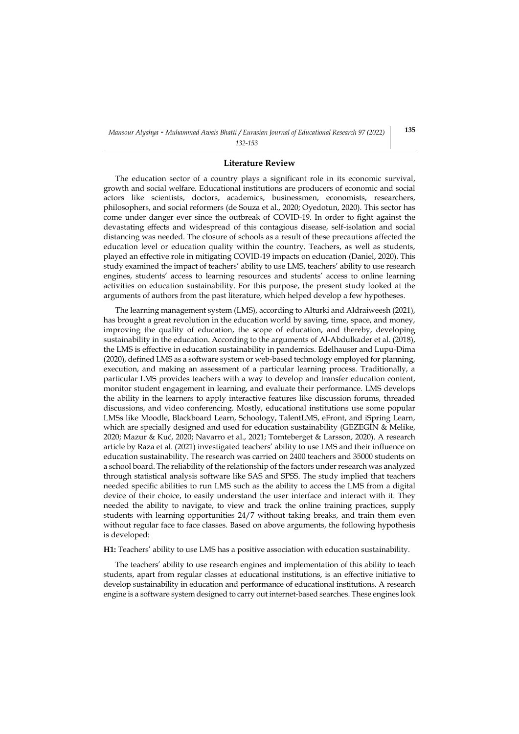#### **Literature Review**

The education sector of a country plays a significant role in its economic survival, growth and social welfare. Educational institutions are producers of economic and social actors like scientists, doctors, academics, businessmen, economists, researchers, philosophers, and social reformers [\(de Souza et al., 2020;](#page-18-6) [Oyedotun, 2020\)](#page-20-3). This sector has come under danger ever since the outbreak of COVID-19. In order to fight against the devastating effects and widespread of this contagious disease, self-isolation and social distancing was needed. The closure of schools as a result of these precautions affected the education level or education quality within the country. Teachers, as well as students, played an effective role in mitigating COVID-19 impacts on education [\(Daniel, 2020\)](#page-18-7). This study examined the impact of teachers' ability to use LMS, teachers' ability to use research engines, students' access to learning resources and students' access to online learning activities on education sustainability. For this purpose, the present study looked at the arguments of authors from the past literature, which helped develop a few hypotheses.

The learning management system (LMS), according t[o Alturki and Aldraiweesh \(2021\),](#page-18-8) has brought a great revolution in the education world by saving, time, space, and money, improving the quality of education, the scope of education, and thereby, developing sustainability in the education. According to the arguments o[f Al-Abdulkader et al. \(2018\),](#page-17-2) the LMS is effective in education sustainability in pandemics. [Edelhauser and Lupu-Dima](#page-18-9)  (2020), defined LMS as a software system or web-based technology employed for planning, execution, and making an assessment of a particular learning process. Traditionally, a particular LMS provides teachers with a way to develop and transfer education content, monitor student engagement in learning, and evaluate their performance. LMS develops the ability in the learners to apply interactive features like discussion forums, threaded discussions, and video conferencing. Mostly, educational institutions use some popular LMSs like Moodle, Blackboard Learn, Schoology, TalentLMS, eFront, and iSpring Learn, which are specially designed and used for education sustainability (GEZEGIN & Melike, [2020;](#page-19-2) [Mazur & Kuć, 2020](#page-19-3); [Navarro et al., 2021;](#page-20-4) [Tomteberget & Larsson, 2020\)](#page-21-1). A research article b[y Raza et al. \(2021\)](#page-20-5) investigated teachers' ability to use LMS and their influence on education sustainability. The research was carried on 2400 teachers and 35000 students on a school board. The reliability of the relationship of the factors under research was analyzed through statistical analysis software like SAS and SPSS. The study implied that teachers needed specific abilities to run LMS such as the ability to access the LMS from a digital device of their choice, to easily understand the user interface and interact with it. They needed the ability to navigate, to view and track the online training practices, supply students with learning opportunities 24/7 without taking breaks, and train them even without regular face to face classes. Based on above arguments, the following hypothesis is developed:

### **H1:** Teachers' ability to use LMS has a positive association with education sustainability.

The teachers' ability to use research engines and implementation of this ability to teach students, apart from regular classes at educational institutions, is an effective initiative to develop sustainability in education and performance of educational institutions. A research engine is a software system designed to carry out internet-based searches. These engines look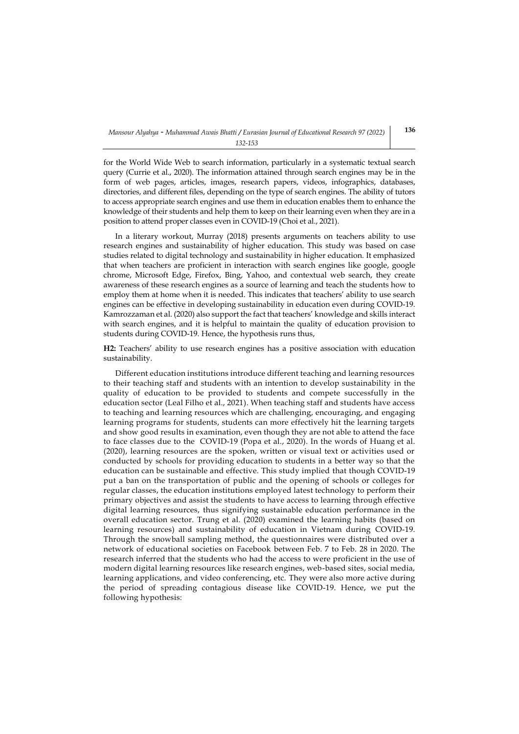for the World Wide Web to search information, particularly in a systematic textual search query [\(Currie et al., 2020\)](#page-18-10). The information attained through search engines may be in the form of web pages, articles, images, research papers, videos, infographics, databases, directories, and different files, depending on the type of search engines. The ability of tutors to access appropriate search engines and use them in education enables them to enhance the knowledge of their students and help them to keep on their learning even when they are in a position to attend proper classes even in COVID-19 [\(Choi et al., 2021\)](#page-18-11).

In a literary workout, [Murray \(2018\)](#page-20-6) presents arguments on teachers ability to use research engines and sustainability of higher education. This study was based on case studies related to digital technology and sustainability in higher education. It emphasized that when teachers are proficient in interaction with search engines like google, google chrome, Microsoft Edge, Firefox, Bing, Yahoo, and contextual web search, they create awareness of these research engines as a source of learning and teach the students how to employ them at home when it is needed. This indicates that teachers' ability to use search engines can be effective in developing sustainability in education even during COVID-19. [Kamrozzaman et al. \(2020\)](#page-19-4) also support the fact that teachers' knowledge and skills interact with search engines, and it is helpful to maintain the quality of education provision to students during COVID-19. Hence, the hypothesis runs thus,

**H2:** Teachers' ability to use research engines has a positive association with education sustainability.

Different education institutions introduce different teaching and learning resources to their teaching staff and students with an intention to develop sustainability in the quality of education to be provided to students and compete successfully in the education sector [\(Leal Filho et al., 2021\)](#page-19-5). When teaching staff and students have access to teaching and learning resources which are challenging, encouraging, and engaging learning programs for students, students can more effectively hit the learning targets and show good results in examination, even though they are not able to attend the face to face classes due to the COVID-19 [\(Popa et al., 2020\)](#page-20-7). In the words of [Huang et al.](#page-19-6)  (2020), learning resources are the spoken, written or visual text or activities used or conducted by schools for providing education to students in a better way so that the education can be sustainable and effective. This study implied that though COVID-19 put a ban on the transportation of public and the opening of schools or colleges for regular classes, the education institutions employed latest technology to perform their primary objectives and assist the students to have access to learning through effective digital learning resources, thus signifying sustainable education performance in the overall education sector. [Trung et al. \(2020\)](#page-21-2) examined the learning habits (based on learning resources) and sustainability of education in Vietnam during COVID-19. Through the snowball sampling method, the questionnaires were distributed over a network of educational societies on Facebook between Feb. 7 to Feb. 28 in 2020. The research inferred that the students who had the access to were proficient in the use of modern digital learning resources like research engines, web-based sites, social media, learning applications, and video conferencing, etc. They were also more active during the period of spreading contagious disease like COVID-19. Hence, we put the following hypothesis: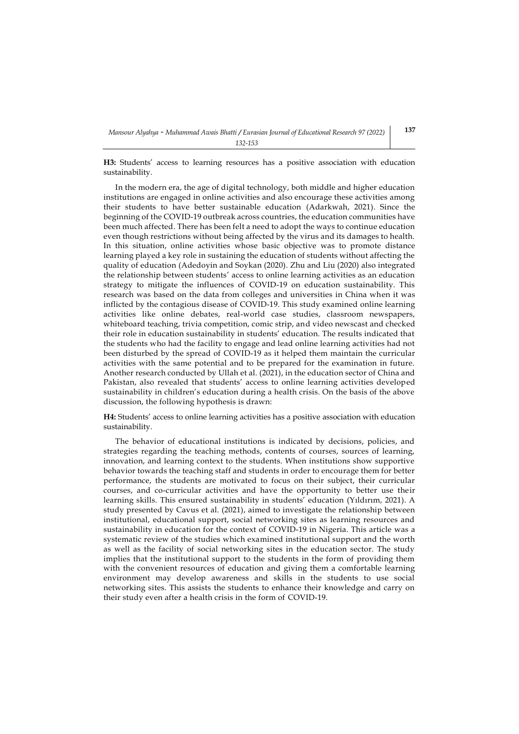**H3:** Students' access to learning resources has a positive association with education sustainability.

In the modern era, the age of digital technology, both middle and higher education institutions are engaged in online activities and also encourage these activities among their students to have better sustainable education [\(Adarkwah, 2021\)](#page-17-3). Since the beginning of the COVID-19 outbreak across countries, the education communities have been much affected. There has been felt a need to adopt the ways to continue education even though restrictions without being affected by the virus and its damages to health. In this situation, online activities whose basic objective was to promote distance learning played a key role in sustaining the education of students without affecting the quality of education [\(Adedoyin and Soykan \(2020\).](#page-17-4) [Zhu and Liu \(2020\)](#page-21-3) also integrated the relationship between students' access to online learning activities as an education strategy to mitigate the influences of COVID-19 on education sustainability. This research was based on the data from colleges and universities in China when it was inflicted by the contagious disease of COVID-19. This study examined online learning activities like online debates, real-world case studies, classroom newspapers, whiteboard teaching, trivia competition, comic strip, and video newscast and checked their role in education sustainability in students' education. The results indicated that the students who had the facility to engage and lead online learning activities had not been disturbed by the spread of COVID-19 as it helped them maintain the curricular activities with the same potential and to be prepared for the examination in future. Another research conducted b[y Ullah et al. \(2021\),](#page-21-4) in the education sector of China and Pakistan, also revealed that students' access to online learning activities developed sustainability in children's education during a health crisis. On the basis of the above discussion, the following hypothesis is drawn:

**H4:** Students' access to online learning activities has a positive association with education sustainability.

The behavior of educational institutions is indicated by decisions, policies, and strategies regarding the teaching methods, contents of courses, sources of learning, innovation, and learning context to the students. When institutions show supportive behavior towards the teaching staff and students in order to encourage them for better performance, the students are motivated to focus on their subject, their curricular courses, and co-curricular activities and have the opportunity to better use their learning skills. This ensured sustainability in students' education (Y[ıldırım, 2021](#page-21-5)). A study presented by [Cavus et al. \(2021\),](#page-18-12) aimed to investigate the relationship between institutional, educational support, social networking sites as learning resources and sustainability in education for the context of COVID-19 in Nigeria. This article was a systematic review of the studies which examined institutional support and the worth as well as the facility of social networking sites in the education sector. The study implies that the institutional support to the students in the form of providing them with the convenient resources of education and giving them a comfortable learning environment may develop awareness and skills in the students to use social networking sites. This assists the students to enhance their knowledge and carry on their study even after a health crisis in the form of COVID-19.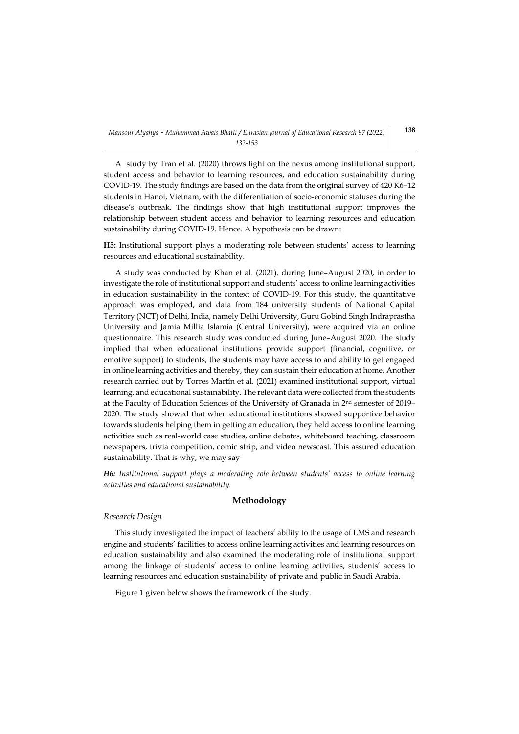A study by [Tran et al. \(2020\)](#page-21-6) throws light on the nexus among institutional support, student access and behavior to learning resources, and education sustainability during COVID-19. The study findings are based on the data from the original survey of 420 K6–12 students in Hanoi, Vietnam, with the differentiation of socio-economic statuses during the disease's outbreak. The findings show that high institutional support improves the relationship between student access and behavior to learning resources and education sustainability during COVID-19. Hence. A hypothesis can be drawn:

**H5:** Institutional support plays a moderating role between students' access to learning resources and educational sustainability.

A study was conducted by [Khan et al. \(2021\),](#page-19-7) during June–August 2020, in order to investigate the role of institutional support and students' access to online learning activities in education sustainability in the context of COVID-19. For this study, the quantitative approach was employed, and data from 184 university students of National Capital Territory (NCT) of Delhi, India, namely Delhi University, Guru Gobind Singh Indraprastha University and Jamia Millia Islamia (Central University), were acquired via an online questionnaire. This research study was conducted during June–August 2020. The study implied that when educational institutions provide support (financial, cognitive, or emotive support) to students, the students may have access to and ability to get engaged in online learning activities and thereby, they can sustain their education at home. Another research carried out by [Torres Martín et al. \(2021\)](#page-21-7) examined institutional support, virtual learning, and educational sustainability. The relevant data were collected from the students at the Faculty of Education Sciences of the University of Granada in 2nd semester of 2019– 2020. The study showed that when educational institutions showed supportive behavior towards students helping them in getting an education, they held access to online learning activities such as real-world case studies, online debates, whiteboard teaching, classroom newspapers, trivia competition, comic strip, and video newscast. This assured education sustainability. That is why, we may say

*H6: Institutional support plays a moderating role between students' access to online learning activities and educational sustainability.*

## **Methodology**

#### *Research Design*

This study investigated the impact of teachers' ability to the usage of LMS and research engine and students' facilities to access online learning activities and learning resources on education sustainability and also examined the moderating role of institutional support among the linkage of students' access to online learning activities, students' access to learning resources and education sustainability of private and public in Saudi Arabia.

Figure 1 given below shows the framework of the study.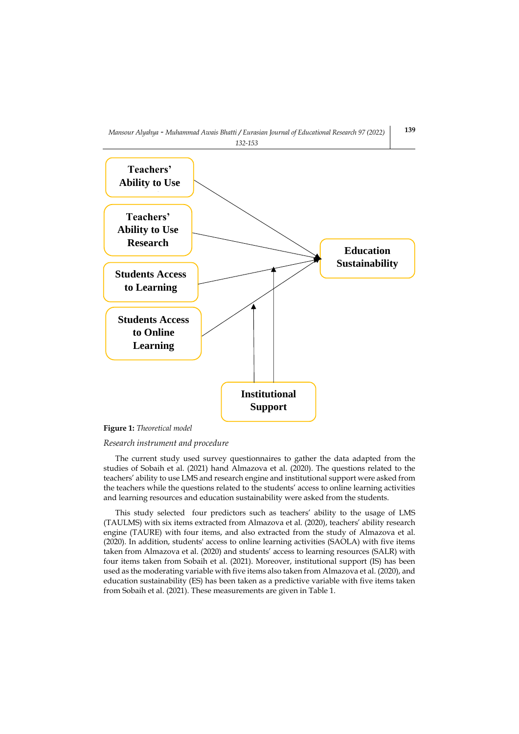



## *Research instrument and procedure*

The current study used survey questionnaires to gather the data adapted from the studies of [Sobaih et al. \(2021\)](#page-20-8) hand [Almazova et al. \(2020\).](#page-17-5) The questions related to the teachers' ability to use LMS and research engine and institutional support were asked from the teachers while the questions related to the students' access to online learning activities and learning resources and education sustainability were asked from the students.

This study selected four predictors such as teachers' ability to the usage of LMS (TAULMS) with six items extracted fro[m Almazova et al. \(2020\)](#page-17-5), teachers' ability research engine (TAURE) with four items, and also extracted from the study of [Almazova et al.](#page-17-5)  (2020). In addition, students' access to online learning activities (SAOLA) with five items taken from [Almazova et al. \(2020\)](#page-17-5) and students' access to learning resources (SALR) with four items taken from [Sobaih et al. \(2021\).](#page-20-8) Moreover, institutional support (IS) has been used as the moderating variable with five items also taken fro[m Almazova et al. \(2020\),](#page-17-5) and education sustainability (ES) has been taken as a predictive variable with five items taken fro[m Sobaih et al. \(2021\).](#page-20-8) These measurements are given in Table 1.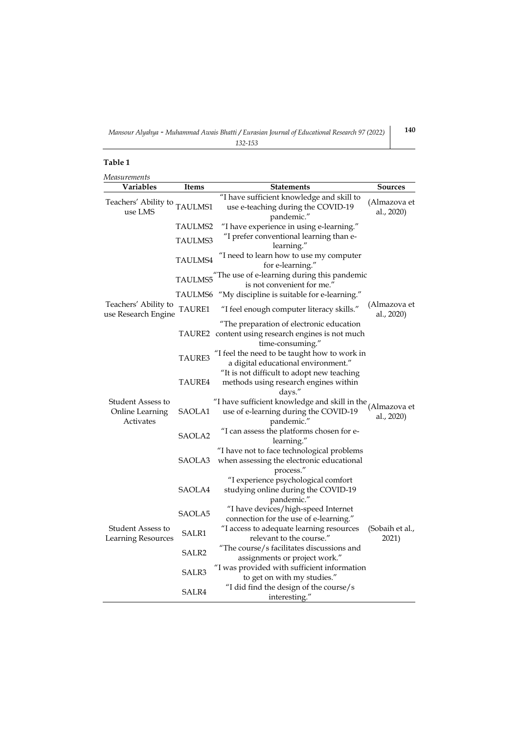# **Table 1**

| Measurements                                      |                   |                                                                                                                     |                            |
|---------------------------------------------------|-------------------|---------------------------------------------------------------------------------------------------------------------|----------------------------|
| Variables                                         | Items             | <b>Statements</b>                                                                                                   | <b>Sources</b>             |
| Teachers' Ability to TAULMS1<br>use LMS           |                   | "I have sufficient knowledge and skill to<br>use e-teaching during the COVID-19<br>pandemic."                       | (Almazova et<br>al., 2020) |
|                                                   | <b>TAULMS2</b>    | "I have experience in using e-learning."                                                                            |                            |
|                                                   | <b>TAULMS3</b>    | "I prefer conventional learning than e-<br>learning."                                                               |                            |
|                                                   | <b>TAULMS4</b>    | "I need to learn how to use my computer<br>for e-learning."                                                         |                            |
|                                                   | TAULMS5           | The use of e-learning during this pandemic<br>is not convenient for me."                                            |                            |
|                                                   | TAULMS6           | "My discipline is suitable for e-learning."                                                                         |                            |
| Teachers' Ability to<br>use Research Engine       | TAURE1            | "I feel enough computer literacy skills."                                                                           | (Almazova et<br>al., 2020) |
|                                                   |                   | "The preparation of electronic education<br>TAURE2 content using research engines is not much<br>time-consuming."   |                            |
|                                                   | TAURE3            | "I feel the need to be taught how to work in<br>a digital educational environment."                                 |                            |
|                                                   | TAURE4            | "It is not difficult to adopt new teaching<br>methods using research engines within<br>days."                       |                            |
| Student Assess to<br>Online Learning<br>Activates | SAOLA1            | "I have sufficient knowledge and skill in the $(Almaxova et$<br>use of e-learning during the COVID-19<br>pandemic." | al., 2020)                 |
|                                                   | SAOLA2            | "I can assess the platforms chosen for e-<br>learning."                                                             |                            |
|                                                   | SAOLA3            | "I have not to face technological problems<br>when assessing the electronic educational<br>process."                |                            |
|                                                   | SAOLA4            | "I experience psychological comfort<br>studying online during the COVID-19<br>pandemic."                            |                            |
|                                                   | SAOLA5            | "I have devices/high-speed Internet<br>connection for the use of e-learning."                                       |                            |
| <b>Student Assess to</b><br>Learning Resources    | SALR1             | "I access to adequate learning resources<br>relevant to the course."                                                | (Sobaih et al.,<br>2021)   |
|                                                   | SALR <sub>2</sub> | "The course/s facilitates discussions and<br>assignments or project work."                                          |                            |
|                                                   | SALR3             | "I was provided with sufficient information<br>to get on with my studies."                                          |                            |
|                                                   | SALR4             | "I did find the design of the course/s<br>interesting."                                                             |                            |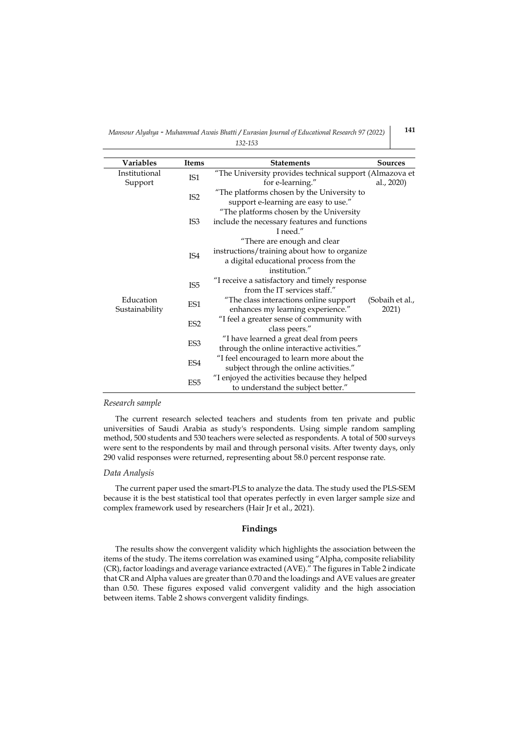*Mansour Alyahya - Muhammad Awais Bhatti / Eurasian Journal of Educational Research 97 (2022) 132-153*

| Variables      | <b>Items</b>    | <b>Statements</b>                                       | Sources         |
|----------------|-----------------|---------------------------------------------------------|-----------------|
| Institutional  |                 | "The University provides technical support (Almazova et |                 |
| Support        | IS1             | for e-learning."                                        | al., 2020)      |
|                | IS <sub>2</sub> | "The platforms chosen by the University to              |                 |
|                |                 | support e-learning are easy to use."                    |                 |
|                |                 | "The platforms chosen by the University                 |                 |
|                | IS <sub>3</sub> | include the necessary features and functions            |                 |
|                |                 | I need."                                                |                 |
|                |                 | "There are enough and clear                             |                 |
|                | IS4             | instructions/training about how to organize             |                 |
|                |                 | a digital educational process from the                  |                 |
|                |                 | institution."                                           |                 |
|                | IS <sub>5</sub> | "I receive a satisfactory and timely response           |                 |
|                |                 | from the IT services staff."                            |                 |
| Education      | ES1             | "The class interactions online support                  | (Sobaih et al., |
| Sustainability |                 | enhances my learning experience."                       | 2021)           |
|                | ES <sub>2</sub> | "I feel a greater sense of community with               |                 |
|                |                 | class peers."                                           |                 |
|                | ES3             | "I have learned a great deal from peers                 |                 |
|                |                 | through the online interactive activities."             |                 |
|                | ES4             | "I feel encouraged to learn more about the              |                 |
|                |                 | subject through the online activities."                 |                 |
|                | ES <sub>5</sub> | "I enjoyed the activities because they helped           |                 |
|                |                 | to understand the subject better."                      |                 |

#### *Research sample*

The current research selected teachers and students from ten private and public universities of Saudi Arabia as study's respondents. Using simple random sampling method, 500 students and 530 teachers were selected as respondents. A total of 500 surveys were sent to the respondents by mail and through personal visits. After twenty days, only 290 valid responses were returned, representing about 58.0 percent response rate.

### *Data Analysis*

The current paper used the smart-PLS to analyze the data. The study used the PLS-SEM because it is the best statistical tool that operates perfectly in even larger sample size and complex framework used by researchers [\(Hair Jr et al., 2021\)](#page-19-8).

## **Findings**

The results show the convergent validity which highlights the association between the items of the study. The items correlation was examined using "Alpha, composite reliability (CR), factor loadings and average variance extracted (AVE)." The figures in Table 2 indicate that CR and Alpha values are greater than 0.70 and the loadings and AVE values are greater than 0.50. These figures exposed valid convergent validity and the high association between items. Table 2 shows convergent validity findings.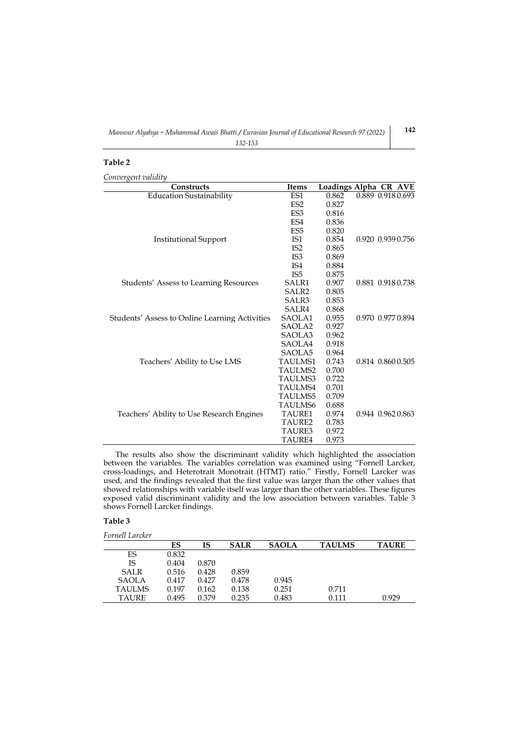## **Table 2**

*Convergent validity*

| Constructs                                     | Items              |       | Loadings Alpha CR AVE |
|------------------------------------------------|--------------------|-------|-----------------------|
| <b>Education Sustainability</b>                | ES1                | 0.862 | 0.889 0.918 0.693     |
|                                                | ES <sub>2</sub>    | 0.827 |                       |
|                                                | ES <sub>3</sub>    | 0.816 |                       |
|                                                | ES <sub>4</sub>    | 0.836 |                       |
|                                                | ES <sub>5</sub>    | 0.820 |                       |
| <b>Institutional Support</b>                   | IS <sub>1</sub>    | 0.854 | 0.920 0.939 0.756     |
|                                                | IS <sub>2</sub>    | 0.865 |                       |
|                                                | IS3                | 0.869 |                       |
|                                                | IS <sub>4</sub>    | 0.884 |                       |
|                                                | IS <sub>5</sub>    | 0.875 |                       |
| Students' Assess to Learning Resources         | SALR1              | 0.907 | 0.881 0.918 0.738     |
|                                                | SALR2              | 0.805 |                       |
|                                                | SALR3              | 0.853 |                       |
|                                                | SALR4              | 0.868 |                       |
| Students' Assess to Online Learning Activities | SAOLA1             | 0.955 | 0.970 0.977 0.894     |
|                                                | SAOLA <sub>2</sub> | 0.927 |                       |
|                                                | SAOLA3             | 0.962 |                       |
|                                                | SAOLA4             | 0.918 |                       |
|                                                | SAOLA5             | 0.964 |                       |
| Teachers' Ability to Use LMS                   | <b>TAULMS1</b>     | 0.743 | 0.814 0.860 0.505     |
|                                                | <b>TAULMS2</b>     | 0.700 |                       |
|                                                | <b>TAULMS3</b>     | 0.722 |                       |
|                                                | TAULMS4            | 0.701 |                       |
|                                                | <b>TAULMS5</b>     | 0.709 |                       |
|                                                | <b>TAULMS6</b>     | 0.688 |                       |
| Teachers' Ability to Use Research Engines      | <b>TAURE1</b>      | 0.974 | 0.944 0.962 0.863     |
|                                                | TAURE2             | 0.783 |                       |
|                                                | <b>TAURE3</b>      | 0.972 |                       |
|                                                | <b>TAURE4</b>      | 0.973 |                       |

The results also show the discriminant validity which highlighted the association between the variables. The variables correlation was examined using "Fornell Larcker, cross-loadings, and Heterotrait Monotrait (HTMT) ratio." Firstly, Fornell Larcker was used, and the findings revealed that the first value was larger than the other values that showed relationships with variable itself was larger than the other variables. These figures exposed valid discriminant validity and the low association between variables. Table 3 shows Fornell Larcker findings.

# **Table 3**

| Fornell Larcker |       |       |             |              |               |              |
|-----------------|-------|-------|-------------|--------------|---------------|--------------|
|                 | ES    | IS    | <b>SALR</b> | <b>SAOLA</b> | <b>TAULMS</b> | <b>TAURE</b> |
| ES              | 0.832 |       |             |              |               |              |
| IS              | 0.404 | 0.870 |             |              |               |              |
| <b>SALR</b>     | 0.516 | 0.428 | 0.859       |              |               |              |
| SAOLA           | 0.417 | 0.427 | 0.478       | 0.945        |               |              |
| <b>TAULMS</b>   | 0.197 | 0.162 | 0.138       | 0.251        | 0.711         |              |
| TAURE           | 0.495 | 0.379 | 0.235       | 0.483        | 0.111         | 0.929        |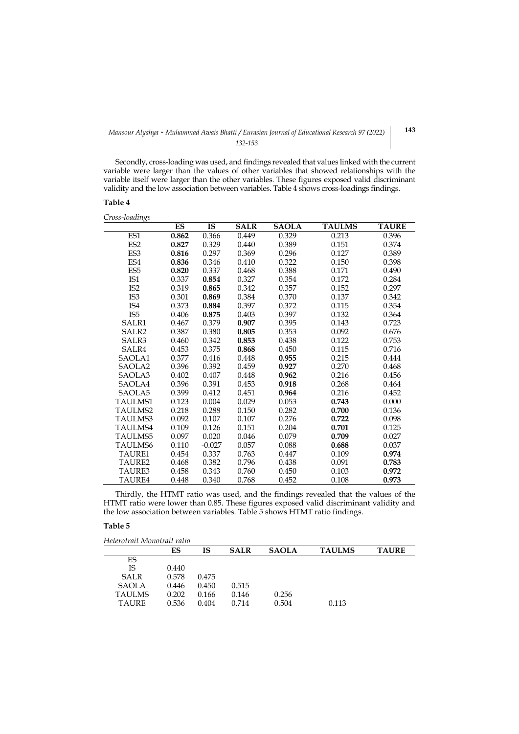Secondly, cross-loading was used, and findings revealed that values linked with the current variable were larger than the values of other variables that showed relationships with the variable itself were larger than the other variables. These figures exposed valid discriminant validity and the low association between variables. Table 4 shows cross-loadings findings.

## **Table 4**

*Cross-loadings*

|                    | ES    | IS       | <b>SALR</b> | <b>SAOLA</b> | <b>TAULMS</b> | <b>TAURE</b> |
|--------------------|-------|----------|-------------|--------------|---------------|--------------|
| ES1                | 0.862 | 0.366    | 0.449       | 0.329        | 0.213         | 0.396        |
| ES <sub>2</sub>    | 0.827 | 0.329    | 0.440       | 0.389        | 0.151         | 0.374        |
| ES <sub>3</sub>    | 0.816 | 0.297    | 0.369       | 0.296        | 0.127         | 0.389        |
| ES <sub>4</sub>    | 0.836 | 0.346    | 0.410       | 0.322        | 0.150         | 0.398        |
| ES <sub>5</sub>    | 0.820 | 0.337    | 0.468       | 0.388        | 0.171         | 0.490        |
| IS1                | 0.337 | 0.854    | 0.327       | 0.354        | 0.172         | 0.284        |
| IS <sub>2</sub>    | 0.319 | 0.865    | 0.342       | 0.357        | 0.152         | 0.297        |
| IS3                | 0.301 | 0.869    | 0.384       | 0.370        | 0.137         | 0.342        |
| IS4                | 0.373 | 0.884    | 0.397       | 0.372        | 0.115         | 0.354        |
| IS <sub>5</sub>    | 0.406 | 0.875    | 0.403       | 0.397        | 0.132         | 0.364        |
| SALR1              | 0.467 | 0.379    | 0.907       | 0.395        | 0.143         | 0.723        |
| SALR <sub>2</sub>  | 0.387 | 0.380    | 0.805       | 0.353        | 0.092         | 0.676        |
| SALR3              | 0.460 | 0.342    | 0.853       | 0.438        | 0.122         | 0.753        |
| SALR4              | 0.453 | 0.375    | 0.868       | 0.450        | 0.115         | 0.716        |
| SAOLA1             | 0.377 | 0.416    | 0.448       | 0.955        | 0.215         | 0.444        |
| SAOLA <sub>2</sub> | 0.396 | 0.392    | 0.459       | 0.927        | 0.270         | 0.468        |
| SAOLA3             | 0.402 | 0.407    | 0.448       | 0.962        | 0.216         | 0.456        |
| SAOLA4             | 0.396 | 0.391    | 0.453       | 0.918        | 0.268         | 0.464        |
| SAOLA5             | 0.399 | 0.412    | 0.451       | 0.964        | 0.216         | 0.452        |
| TAULMS1            | 0.123 | 0.004    | 0.029       | 0.053        | 0.743         | 0.000        |
| TAULMS2            | 0.218 | 0.288    | 0.150       | 0.282        | 0.700         | 0.136        |
| TAULMS3            | 0.092 | 0.107    | 0.107       | 0.276        | 0.722         | 0.098        |
| TAULMS4            | 0.109 | 0.126    | 0.151       | 0.204        | 0.701         | 0.125        |
| <b>TAULMS5</b>     | 0.097 | 0.020    | 0.046       | 0.079        | 0.709         | 0.027        |
| TAULMS6            | 0.110 | $-0.027$ | 0.057       | 0.088        | 0.688         | 0.037        |
| TAURE1             | 0.454 | 0.337    | 0.763       | 0.447        | 0.109         | 0.974        |
| TAURE <sub>2</sub> | 0.468 | 0.382    | 0.796       | 0.438        | 0.091         | 0.783        |
| TAURE3             | 0.458 | 0.343    | 0.760       | 0.450        | 0.103         | 0.972        |
| TAURF4             | 0.448 | 0.340    | 0.768       | 0.452        | 0.108         | 0.973        |

Thirdly, the HTMT ratio was used, and the findings revealed that the values of the HTMT ratio were lower than 0.85. These figures exposed valid discriminant validity and the low association between variables. Table 5 shows HTMT ratio findings.

### **Table 5**

*Heterotrait Monotrait ratio*

|              | ES    | IS    | <b>SALR</b> | <b>SAOLA</b> | <b>TAULMS</b> | <b>TAURE</b> |
|--------------|-------|-------|-------------|--------------|---------------|--------------|
| ES           |       |       |             |              |               |              |
| IS           | 0.440 |       |             |              |               |              |
| <b>SALR</b>  | 0.578 | 0.475 |             |              |               |              |
| <b>SAOLA</b> | 0.446 | 0.450 | 0.515       |              |               |              |
| TAULMS       | 0.202 | 0.166 | 0.146       | 0.256        |               |              |
| <b>TAURE</b> | 0.536 | 0.404 | 0.714       | 0.504        | 0.113         |              |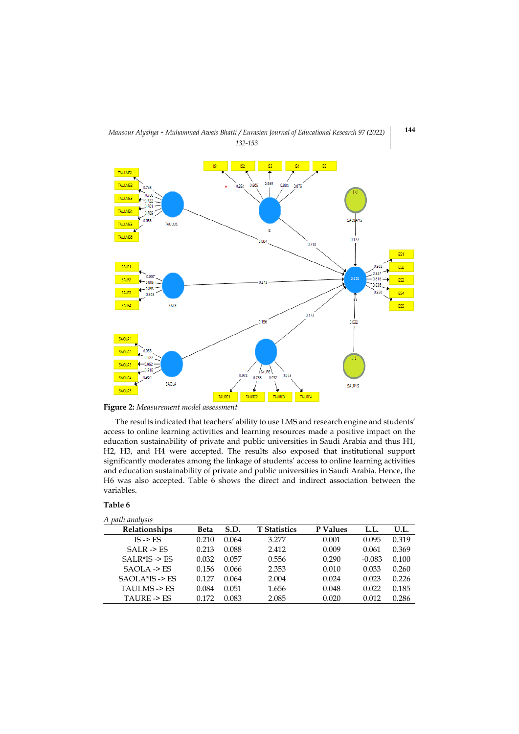



**Figure 2:** *Measurement model assessment*

The results indicated that teachers' ability to use LMS and research engine and students' access to online learning activities and learning resources made a positive impact on the education sustainability of private and public universities in Saudi Arabia and thus H1, H2, H3, and H4 were accepted. The results also exposed that institutional support significantly moderates among the linkage of students' access to online learning activities and education sustainability of private and public universities in Saudi Arabia. Hence, the H6 was also accepted. Table 6 shows the direct and indirect association between the variables.

## **Table 6**

| A path analysis            |       |       |                     |          |          |       |
|----------------------------|-------|-------|---------------------|----------|----------|-------|
| Relationships              | Beta  | S.D.  | <b>T</b> Statistics | P Values | L.L.     | U.L.  |
| $IS \rightarrow FS$        | 0.210 | 0.064 | 3.277               | 0.001    | 0.095    | 0.319 |
| $SAI.R \rightarrow FS$     | 0.213 | 0.088 | 2.412               | 0.009    | 0.061    | 0.369 |
| $SAI$ R*IS -> ES           | 0.032 | 0.057 | 0.556               | 0.290    | $-0.083$ | 0.100 |
| $SAOLA \rightarrow FS$     | 0.156 | 0.066 | 2.353               | 0.010    | 0.033    | 0.260 |
| $SAOI.A*IS \rightarrow ES$ | 0.127 | 0.064 | 2.004               | 0.024    | 0.023    | 0.226 |
| TAULMS -> ES               | 0.084 | 0.051 | 1.656               | 0.048    | 0.022    | 0.185 |
| TAURE -> FS                | 0.172 | 0.083 | 2.085               | 0.020    | 0.012    | 0.286 |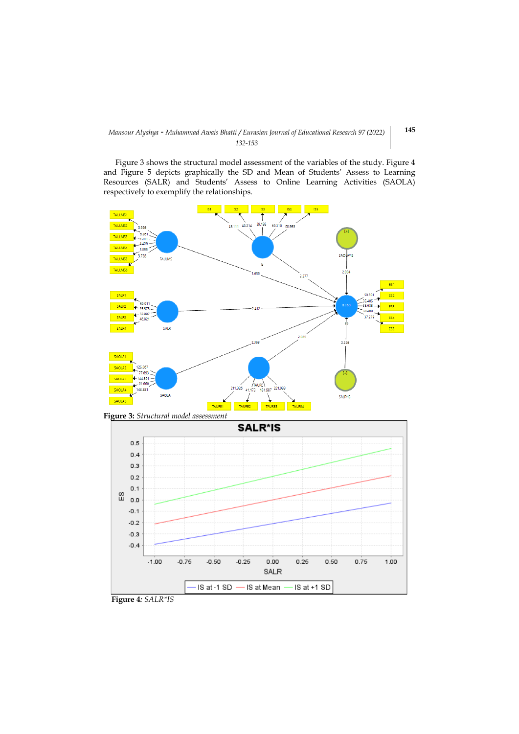Figure 3 shows the structural model assessment of the variables of the study. Figure 4 and Figure 5 depicts graphically the SD and Mean of Students' Assess to Learning Resources (SALR) and Students' Assess to Online Learning Activities (SAOLA) respectively to exemplify the relationships.



IS at Mean

IS at +1 SD



IS at -1 SD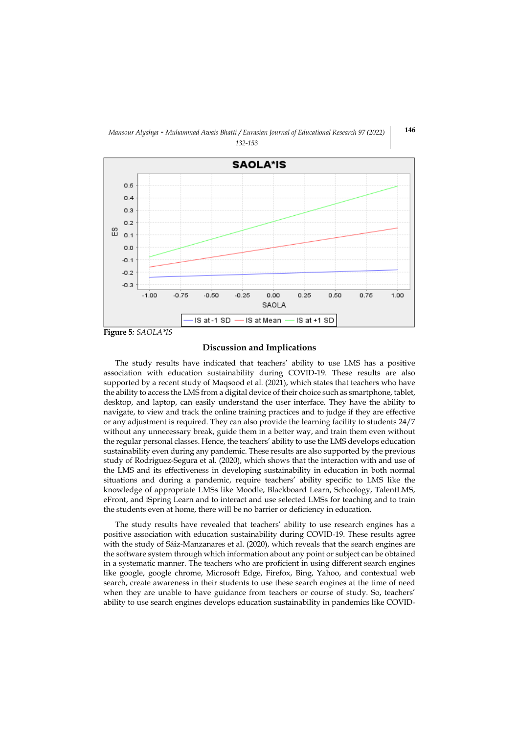## *Mansour Alyahya - Muhammad Awais Bhatti / Eurasian Journal of Educational Research 97 (2022) 132-153*



# **Discussion and Implications**

The study results have indicated that teachers' ability to use LMS has a positive association with education sustainability during COVID-19. These results are also supported by a recent study o[f Maqsood et al. \(2021\),](#page-19-9) which states that teachers who have the ability to access the LMS from a digital device of their choice such as smartphone, tablet, desktop, and laptop, can easily understand the user interface. They have the ability to navigate, to view and track the online training practices and to judge if they are effective or any adjustment is required. They can also provide the learning facility to students 24/7 without any unnecessary break, guide them in a better way, and train them even without the regular personal classes. Hence, the teachers' ability to use the LMS develops education sustainability even during any pandemic. These results are also supported by the previous study of [Rodriguez-Segura et al. \(2020\),](#page-20-9) which shows that the interaction with and use of the LMS and its effectiveness in developing sustainability in education in both normal situations and during a pandemic, require teachers' ability specific to LMS like the knowledge of appropriate LMSs like Moodle, Blackboard Learn, Schoology, TalentLMS, eFront, and iSpring Learn and to interact and use selected LMSs for teaching and to train the students even at home, there will be no barrier or deficiency in education.

The study results have revealed that teachers' ability to use research engines has a positive association with education sustainability during COVID-19. These results agree with the study of [Sáiz-Manzanares et al. \(2020\),](#page-20-10) which reveals that the search engines are the software system through which information about any point or subject can be obtained in a systematic manner. The teachers who are proficient in using different search engines like google, google chrome, Microsoft Edge, Firefox, Bing, Yahoo, and contextual web search, create awareness in their students to use these search engines at the time of need when they are unable to have guidance from teachers or course of study. So, teachers' ability to use search engines develops education sustainability in pandemics like COVID-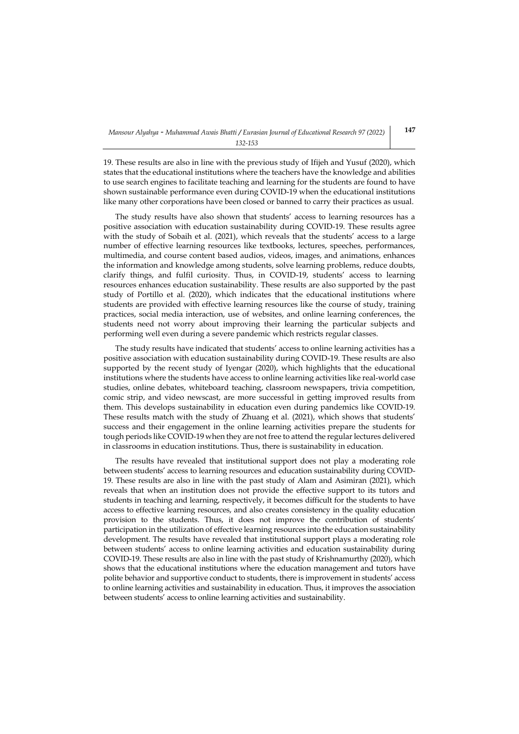19. These results are also in line with the previous study o[f Ifijeh and Yusuf \(2020\),](#page-19-10) which states that the educational institutions where the teachers have the knowledge and abilities to use search engines to facilitate teaching and learning for the students are found to have shown sustainable performance even during COVID-19 when the educational institutions like many other corporations have been closed or banned to carry their practices as usual.

The study results have also shown that students' access to learning resources has a positive association with education sustainability during COVID-19. These results agree with the study of [Sobaih et al. \(2021\)](#page-20-8), which reveals that the students' access to a large number of effective learning resources like textbooks, lectures, speeches, performances, multimedia, and course content based audios, videos, images, and animations, enhances the information and knowledge among students, solve learning problems, reduce doubts, clarify things, and fulfil curiosity. Thus, in COVID-19, students' access to learning resources enhances education sustainability. These results are also supported by the past study of [Portillo et al. \(2020\),](#page-20-11) which indicates that the educational institutions where students are provided with effective learning resources like the course of study, training practices, social media interaction, use of websites, and online learning conferences, the students need not worry about improving their learning the particular subjects and performing well even during a severe pandemic which restricts regular classes.

The study results have indicated that students' access to online learning activities has a positive association with education sustainability during COVID-19. These results are also supported by the recent study of [Iyengar \(2020\),](#page-19-11) which highlights that the educational institutions where the students have access to online learning activities like real-world case studies, online debates, whiteboard teaching, classroom newspapers, trivia competition, comic strip, and video newscast, are more successful in getting improved results from them. This develops sustainability in education even during pandemics like COVID-19. These results match with the study of [Zhuang et al. \(2021\)](#page-21-8), which shows that students' success and their engagement in the online learning activities prepare the students for tough periods like COVID-19 when they are not free to attend the regular lectures delivered in classrooms in education institutions. Thus, there is sustainability in education.

The results have revealed that institutional support does not play a moderating role between students' access to learning resources and education sustainability during COVID-19. These results are also in line with the past study of [Alam and Asimiran \(2021\),](#page-17-6) which reveals that when an institution does not provide the effective support to its tutors and students in teaching and learning, respectively, it becomes difficult for the students to have access to effective learning resources, and also creates consistency in the quality education provision to the students. Thus, it does not improve the contribution of students' participation in the utilization of effective learning resources into the education sustainability development. The results have revealed that institutional support plays a moderating role between students' access to online learning activities and education sustainability during COVID-19. These results are also in line with the past study o[f Krishnamurthy \(2020\),](#page-19-12) which shows that the educational institutions where the education management and tutors have polite behavior and supportive conduct to students, there is improvement in students' access to online learning activities and sustainability in education. Thus, it improves the association between students' access to online learning activities and sustainability.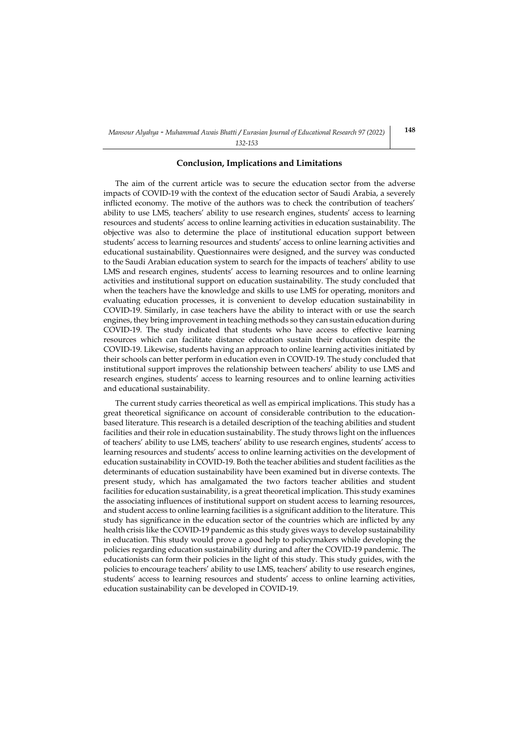#### *132-153*

## **Conclusion, Implications and Limitations**

The aim of the current article was to secure the education sector from the adverse impacts of COVID-19 with the context of the education sector of Saudi Arabia, a severely inflicted economy. The motive of the authors was to check the contribution of teachers' ability to use LMS, teachers' ability to use research engines, students' access to learning resources and students' access to online learning activities in education sustainability. The objective was also to determine the place of institutional education support between students' access to learning resources and students' access to online learning activities and educational sustainability. Questionnaires were designed, and the survey was conducted to the Saudi Arabian education system to search for the impacts of teachers' ability to use LMS and research engines, students' access to learning resources and to online learning activities and institutional support on education sustainability. The study concluded that when the teachers have the knowledge and skills to use LMS for operating, monitors and evaluating education processes, it is convenient to develop education sustainability in COVID-19. Similarly, in case teachers have the ability to interact with or use the search engines, they bring improvement in teaching methods so they can sustain education during COVID-19. The study indicated that students who have access to effective learning resources which can facilitate distance education sustain their education despite the COVID-19. Likewise, students having an approach to online learning activities initiated by their schools can better perform in education even in COVID-19. The study concluded that institutional support improves the relationship between teachers' ability to use LMS and research engines, students' access to learning resources and to online learning activities and educational sustainability.

The current study carries theoretical as well as empirical implications. This study has a great theoretical significance on account of considerable contribution to the educationbased literature. This research is a detailed description of the teaching abilities and student facilities and their role in education sustainability. The study throws light on the influences of teachers' ability to use LMS, teachers' ability to use research engines, students' access to learning resources and students' access to online learning activities on the development of education sustainability in COVID-19. Both the teacher abilities and student facilities as the determinants of education sustainability have been examined but in diverse contexts. The present study, which has amalgamated the two factors teacher abilities and student facilities for education sustainability, is a great theoretical implication. This study examines the associating influences of institutional support on student access to learning resources, and student access to online learning facilities is a significant addition to the literature. This study has significance in the education sector of the countries which are inflicted by any health crisis like the COVID-19 pandemic as this study gives ways to develop sustainability in education. This study would prove a good help to policymakers while developing the policies regarding education sustainability during and after the COVID-19 pandemic. The educationists can form their policies in the light of this study. This study guides, with the policies to encourage teachers' ability to use LMS, teachers' ability to use research engines, students' access to learning resources and students' access to online learning activities, education sustainability can be developed in COVID-19.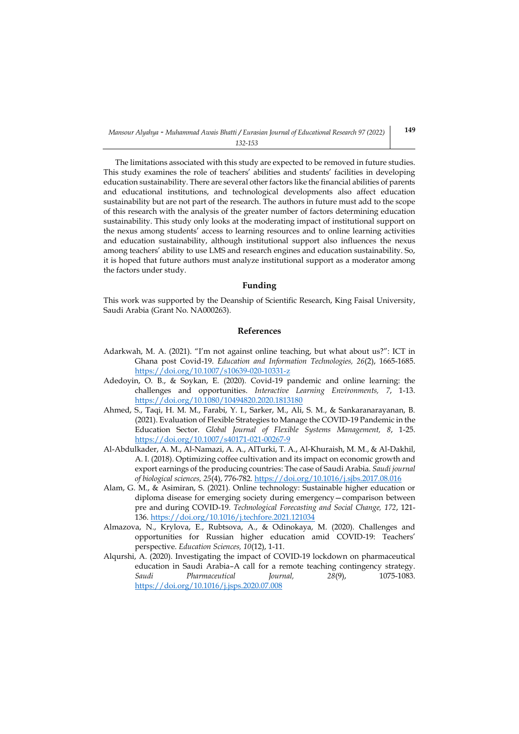The limitations associated with this study are expected to be removed in future studies. This study examines the role of teachers' abilities and students' facilities in developing education sustainability. There are several other factors like the financial abilities of parents and educational institutions, and technological developments also affect education sustainability but are not part of the research. The authors in future must add to the scope of this research with the analysis of the greater number of factors determining education sustainability. This study only looks at the moderating impact of institutional support on the nexus among students' access to learning resources and to online learning activities and education sustainability, although institutional support also influences the nexus among teachers' ability to use LMS and research engines and education sustainability. So, it is hoped that future authors must analyze institutional support as a moderator among the factors under study.

### **Funding**

This work was supported by the Deanship of Scientific Research, King Faisal University, Saudi Arabia (Grant No. NA000263).

# **References**

- <span id="page-17-3"></span>Adarkwah, M. A. (2021). "I'm not against online teaching, but what about us?": ICT in Ghana post Covid-19. *Education and Information Technologies, 26*(2), 1665-1685. <https://doi.org/10.1007/s10639-020-10331-z>
- <span id="page-17-4"></span>Adedoyin, O. B., & Soykan, E. (2020). Covid-19 pandemic and online learning: the challenges and opportunities. *Interactive Learning Environments, 7*, 1-13. <https://doi.org/10.1080/10494820.2020.1813180>
- <span id="page-17-0"></span>Ahmed, S., Taqi, H. M. M., Farabi, Y. I., Sarker, M., Ali, S. M., & Sankaranarayanan, B. (2021). Evaluation of Flexible Strategies to Manage the COVID-19 Pandemic in the Education Sector. *Global Journal of Flexible Systems Management, 8*, 1-25. <https://doi.org/10.1007/s40171-021-00267-9>
- <span id="page-17-2"></span>Al-Abdulkader, A. M., Al-Namazi, A. A., AlTurki, T. A., Al-Khuraish, M. M., & Al-Dakhil, A. I. (2018). Optimizing coffee cultivation and its impact on economic growth and export earnings of the producing countries: The case of Saudi Arabia. *Saudi journal of biological sciences, 25*(4), 776-782.<https://doi.org/10.1016/j.sjbs.2017.08.016>
- <span id="page-17-6"></span>Alam, G. M., & Asimiran, S. (2021). Online technology: Sustainable higher education or diploma disease for emerging society during emergency—comparison between pre and during COVID-19. *Technological Forecasting and Social Change, 172*, 121- 136.<https://doi.org/10.1016/j.techfore.2021.121034>
- <span id="page-17-5"></span>Almazova, N., Krylova, E., Rubtsova, A., & Odinokaya, M. (2020). Challenges and opportunities for Russian higher education amid COVID-19: Teachers' perspective. *Education Sciences, 10*(12), 1-11.
- <span id="page-17-1"></span>Alqurshi, A. (2020). Investigating the impact of COVID-19 lockdown on pharmaceutical education in Saudi Arabia–A call for a remote teaching contingency strategy. *Saudi Pharmaceutical Journal, 28*(9), 1075-1083. <https://doi.org/10.1016/j.jsps.2020.07.008>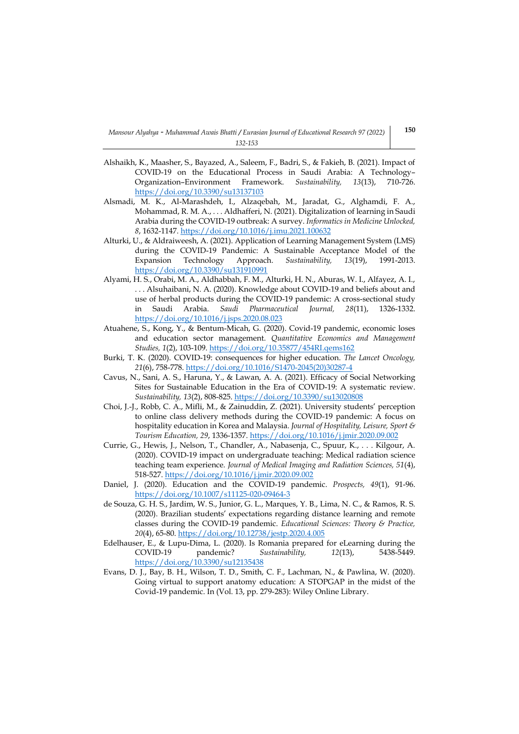- <span id="page-18-3"></span>Alshaikh, K., Maasher, S., Bayazed, A., Saleem, F., Badri, S., & Fakieh, B. (2021). Impact of COVID-19 on the Educational Process in Saudi Arabia: A Technology– Organization–Environment Framework. *Sustainability, 13*(13), 710-726. <https://doi.org/10.3390/su13137103>
- <span id="page-18-5"></span>Alsmadi, M. K., Al-Marashdeh, I., Alzaqebah, M., Jaradat, G., Alghamdi, F. A., Mohammad, R. M. A., . . . Aldhafferi, N. (2021). Digitalization of learning in Saudi Arabia during the COVID-19 outbreak: A survey. *Informatics in Medicine Unlocked, 8*, 1632-1147[. https://doi.org/10.1016/j.imu.2021.100632](https://doi.org/10.1016/j.imu.2021.100632)
- <span id="page-18-8"></span>Alturki, U., & Aldraiweesh, A. (2021). Application of Learning Management System (LMS) during the COVID-19 Pandemic: A Sustainable Acceptance Model of the Expansion Technology Approach. *Sustainability, 13*(19), 1991-2013. <https://doi.org/10.3390/su131910991>
- <span id="page-18-4"></span>Alyami, H. S., Orabi, M. A., Aldhabbah, F. M., Alturki, H. N., Aburas, W. I., Alfayez, A. I., . . . Alsuhaibani, N. A. (2020). Knowledge about COVID-19 and beliefs about and use of herbal products during the COVID-19 pandemic: A cross-sectional study in Saudi Arabia. *Saudi Pharmaceutical Journal, 28*(11), 1326-1332. <https://doi.org/10.1016/j.jsps.2020.08.023>
- <span id="page-18-1"></span>Atuahene, S., Kong, Y., & Bentum-Micah, G. (2020). Covid-19 pandemic, economic loses and education sector management. *Quantitative Economics and Management Studies, 1*(2), 103-109[. https://doi.org/10.35877/454RI.qems162](https://doi.org/10.35877/454RI.qems162)
- <span id="page-18-0"></span>Burki, T. K. (2020). COVID-19: consequences for higher education. *The Lancet Oncology, 21*(6), 758-778[. https://doi.org/10.1016/S1470-2045\(20\)30287-4](https://doi.org/10.1016/S1470-2045(20)30287-4)
- <span id="page-18-12"></span>Cavus, N., Sani, A. S., Haruna, Y., & Lawan, A. A. (2021). Efficacy of Social Networking Sites for Sustainable Education in the Era of COVID-19: A systematic review. *Sustainability, 13*(2), 808-825.<https://doi.org/10.3390/su13020808>
- <span id="page-18-11"></span>Choi, J.-J., Robb, C. A., Mifli, M., & Zainuddin, Z. (2021). University students' perception to online class delivery methods during the COVID-19 pandemic: A focus on hospitality education in Korea and Malaysia. *Journal of Hospitality, Leisure, Sport & Tourism Education, 29*, 1336-1357[. https://doi.org/10.1016/j.jmir.2020.09.002](https://doi.org/10.1016/j.jmir.2020.09.002)
- <span id="page-18-10"></span>Currie, G., Hewis, J., Nelson, T., Chandler, A., Nabasenja, C., Spuur, K., . . . Kilgour, A. (2020). COVID-19 impact on undergraduate teaching: Medical radiation science teaching team experience. *Journal of Medical Imaging and Radiation Sciences, 51*(4), 518-527[. https://doi.org/10.1016/j.jmir.2020.09.002](https://doi.org/10.1016/j.jmir.2020.09.002)
- <span id="page-18-7"></span>Daniel, J. (2020). Education and the COVID-19 pandemic. *Prospects, 49*(1), 91-96. <https://doi.org/10.1007/s11125-020-09464-3>
- <span id="page-18-6"></span>de Souza, G. H. S., Jardim, W. S., Junior, G. L., Marques, Y. B., Lima, N. C., & Ramos, R. S. (2020). Brazilian students' expectations regarding distance learning and remote classes during the COVID-19 pandemic. *Educational Sciences: Theory & Practice, 20*(4), 65-80[. https://doi.org/10.12738/jestp.2020.4.005](https://doi.org/10.12738/jestp.2020.4.005)
- <span id="page-18-9"></span>Edelhauser, E., & Lupu-Dima, L. (2020). Is Romania prepared for eLearning during the COVID-19 pandemic? *Sustainability, 12*(13), 5438-5449. <https://doi.org/10.3390/su12135438>
- <span id="page-18-2"></span>Evans, D. J., Bay, B. H., Wilson, T. D., Smith, C. F., Lachman, N., & Pawlina, W. (2020). Going virtual to support anatomy education: A STOPGAP in the midst of the Covid‐19 pandemic. In (Vol. 13, pp. 279-283): Wiley Online Library.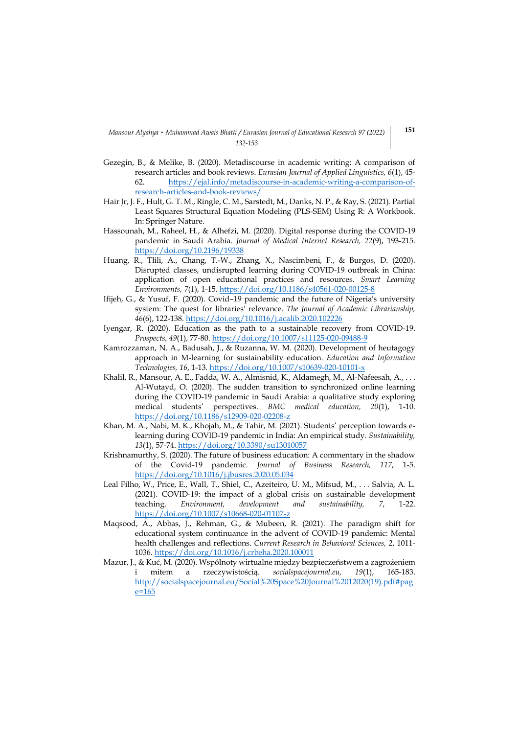- <span id="page-19-2"></span>Gezegin, B., & Melike, B. (2020). Metadiscourse in academic writing: A comparison of research articles and book reviews. *Eurasian Journal of Applied Linguistics, 6*(1), 45- 62. [https://ejal.info/metadiscourse-in-academic-writing-a-comparison-of](https://ejal.info/metadiscourse-in-academic-writing-a-comparison-of-research-articles-and-book-reviews/)[research-articles-and-book-reviews/](https://ejal.info/metadiscourse-in-academic-writing-a-comparison-of-research-articles-and-book-reviews/)
- <span id="page-19-8"></span>Hair Jr, J. F., Hult, G. T. M., Ringle, C. M., Sarstedt, M., Danks, N. P., & Ray, S. (2021). Partial Least Squares Structural Equation Modeling (PLS-SEM) Using R: A Workbook. In: Springer Nature.
- <span id="page-19-0"></span>Hassounah, M., Raheel, H., & Alhefzi, M. (2020). Digital response during the COVID-19 pandemic in Saudi Arabia. *Journal of Medical Internet Research, 22*(9), 193-215. <https://doi.org/10.2196/19338>
- <span id="page-19-6"></span>Huang, R., Tlili, A., Chang, T.-W., Zhang, X., Nascimbeni, F., & Burgos, D. (2020). Disrupted classes, undisrupted learning during COVID-19 outbreak in China: application of open educational practices and resources. *Smart Learning Environments, 7*(1), 1-15.<https://doi.org/10.1186/s40561-020-00125-8>
- <span id="page-19-10"></span>Ifijeh, G., & Yusuf, F. (2020). Covid–19 pandemic and the future of Nigeria's university system: The quest for libraries' relevance. *The Journal of Academic Librarianship, 46*(6), 122-138[. https://doi.org/10.1016/j.acalib.2020.102226](https://doi.org/10.1016/j.acalib.2020.102226)
- <span id="page-19-11"></span>Iyengar, R. (2020). Education as the path to a sustainable recovery from COVID-19. *Prospects, 49*(1), 77-80[. https://doi.org/10.1007/s11125-020-09488-9](https://doi.org/10.1007/s11125-020-09488-9)
- <span id="page-19-4"></span>Kamrozzaman, N. A., Badusah, J., & Ruzanna, W. M. (2020). Development of heutagogy approach in M-learning for sustainability education. *Education and Information Technologies, 16*, 1-13[. https://doi.org/10.1007/s10639-020-10101-x](https://doi.org/10.1007/s10639-020-10101-x)
- <span id="page-19-1"></span>Khalil, R., Mansour, A. E., Fadda, W. A., Almisnid, K., Aldamegh, M., Al-Nafeesah, A., . . . Al-Wutayd, O. (2020). The sudden transition to synchronized online learning during the COVID-19 pandemic in Saudi Arabia: a qualitative study exploring medical students' perspectives. *BMC medical education, 20*(1), 1-10. <https://doi.org/10.1186/s12909-020-02208-z>
- <span id="page-19-7"></span>Khan, M. A., Nabi, M. K., Khojah, M., & Tahir, M. (2021). Students' perception towards elearning during COVID-19 pandemic in India: An empirical study. *Sustainability, 13*(1), 57-74[. https://doi.org/10.3390/su13010057](https://doi.org/10.3390/su13010057)
- <span id="page-19-12"></span>Krishnamurthy, S. (2020). The future of business education: A commentary in the shadow of the Covid-19 pandemic. *Journal of Business Research, 117*, 1-5. <https://doi.org/10.1016/j.jbusres.2020.05.034>
- <span id="page-19-5"></span>Leal Filho, W., Price, E., Wall, T., Shiel, C., Azeiteiro, U. M., Mifsud, M., . . . Salvia, A. L. (2021). COVID-19: the impact of a global crisis on sustainable development teaching. *Environment, development and sustainability, 7*, 1-22. <https://doi.org/10.1007/s10668-020-01107-z>
- <span id="page-19-9"></span>Maqsood, A., Abbas, J., Rehman, G., & Mubeen, R. (2021). The paradigm shift for educational system continuance in the advent of COVID-19 pandemic: Mental health challenges and reflections. *Current Research in Behavioral Sciences, 2*, 1011- 1036[. https://doi.org/10.1016/j.crbeha.2020.100011](https://doi.org/10.1016/j.crbeha.2020.100011)
- <span id="page-19-3"></span>Mazur, J., & Kuć, M. (2020). Wspólnoty wirtualne między bezpieczeństwem a zagrożeniem i mitem a rzeczywistością. *socialspacejournal.eu, 19*(1), 165-183. [http://socialspacejournal.eu/Social%20Space%20Journal%2012020\(19\).pdf#pag](http://socialspacejournal.eu/Social%20Space%20Journal%2012020(19).pdf#page=165) [e=165](http://socialspacejournal.eu/Social%20Space%20Journal%2012020(19).pdf#page=165)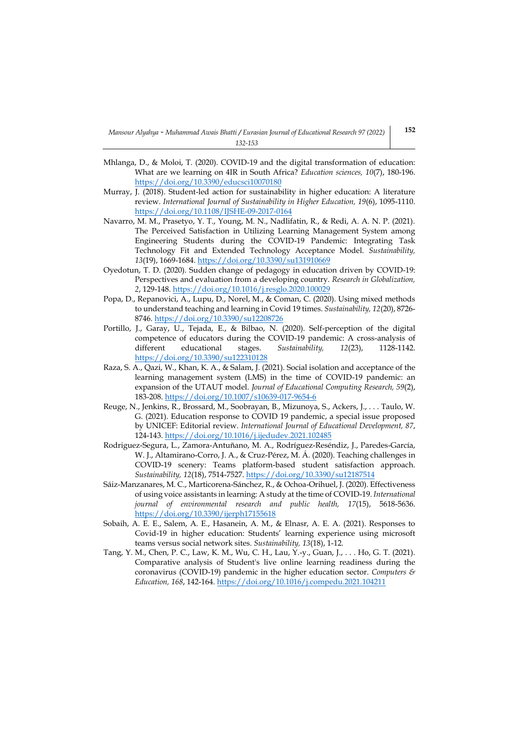- <span id="page-20-1"></span>Mhlanga, D., & Moloi, T. (2020). COVID-19 and the digital transformation of education: What are we learning on 4IR in South Africa? *Education sciences, 10*(7), 180-196. <https://doi.org/10.3390/educsci10070180>
- <span id="page-20-6"></span>Murray, J. (2018). Student-led action for sustainability in higher education: A literature review. *International Journal of Sustainability in Higher Education, 19*(6), 1095-1110. <https://doi.org/10.1108/IJSHE-09-2017-0164>
- <span id="page-20-4"></span>Navarro, M. M., Prasetyo, Y. T., Young, M. N., Nadlifatin, R., & Redi, A. A. N. P. (2021). The Perceived Satisfaction in Utilizing Learning Management System among Engineering Students during the COVID-19 Pandemic: Integrating Task Technology Fit and Extended Technology Acceptance Model. *Sustainability, 13*(19), 1669-1684.<https://doi.org/10.3390/su131910669>
- <span id="page-20-3"></span>Oyedotun, T. D. (2020). Sudden change of pedagogy in education driven by COVID-19: Perspectives and evaluation from a developing country. *Research in Globalization, 2*, 129-148[. https://doi.org/10.1016/j.resglo.2020.100029](https://doi.org/10.1016/j.resglo.2020.100029)
- <span id="page-20-7"></span>Popa, D., Repanovici, A., Lupu, D., Norel, M., & Coman, C. (2020). Using mixed methods to understand teaching and learning in Covid 19 times. *Sustainability, 12*(20), 8726- 8746[. https://doi.org/10.3390/su12208726](https://doi.org/10.3390/su12208726)
- <span id="page-20-11"></span>Portillo, J., Garay, U., Tejada, E., & Bilbao, N. (2020). Self-perception of the digital competence of educators during the COVID-19 pandemic: A cross-analysis of different educational stages. *Sustainability*, 12(23), 1128-1142. <https://doi.org/10.3390/su122310128>
- <span id="page-20-5"></span>Raza, S. A., Qazi, W., Khan, K. A., & Salam, J. (2021). Social isolation and acceptance of the learning management system (LMS) in the time of COVID-19 pandemic: an expansion of the UTAUT model. *Journal of Educational Computing Research, 59*(2), 183-208[. https://doi.org/10.1007/s10639-017-9654-6](https://doi.org/10.1007/s10639-017-9654-6)
- <span id="page-20-2"></span>Reuge, N., Jenkins, R., Brossard, M., Soobrayan, B., Mizunoya, S., Ackers, J., . . . Taulo, W. G. (2021). Education response to COVID 19 pandemic, a special issue proposed by UNICEF: Editorial review. *International Journal of Educational Development, 87*, 124-143[. https://doi.org/10.1016/j.ijedudev.2021.102485](https://doi.org/10.1016/j.ijedudev.2021.102485)
- <span id="page-20-9"></span>Rodriguez-Segura, L., Zamora-Antuñano, M. A., Rodríguez-Reséndiz, J., Paredes-García, W. J., Altamirano-Corro, J. A., & Cruz-Pérez, M. Á. (2020). Teaching challenges in COVID-19 scenery: Teams platform-based student satisfaction approach. *Sustainability, 12*(18), 7514-7527[. https://doi.org/10.3390/su12187514](https://doi.org/10.3390/su12187514)
- <span id="page-20-10"></span>Sáiz-Manzanares, M. C., Marticorena-Sánchez, R., & Ochoa-Orihuel, J. (2020). Effectiveness of using voice assistants in learning: A study at the time of COVID-19. *International journal of environmental research and public health, 17*(15), 5618-5636. <https://doi.org/10.3390/ijerph17155618>
- <span id="page-20-8"></span>Sobaih, A. E. E., Salem, A. E., Hasanein, A. M., & Elnasr, A. E. A. (2021). Responses to Covid-19 in higher education: Students' learning experience using microsoft teams versus social network sites. *Sustainability, 13*(18), 1-12.
- <span id="page-20-0"></span>Tang, Y. M., Chen, P. C., Law, K. M., Wu, C. H., Lau, Y.-y., Guan, J., . . . Ho, G. T. (2021). Comparative analysis of Student's live online learning readiness during the coronavirus (COVID-19) pandemic in the higher education sector. *Computers & Education, 168*, 142-164.<https://doi.org/10.1016/j.compedu.2021.104211>